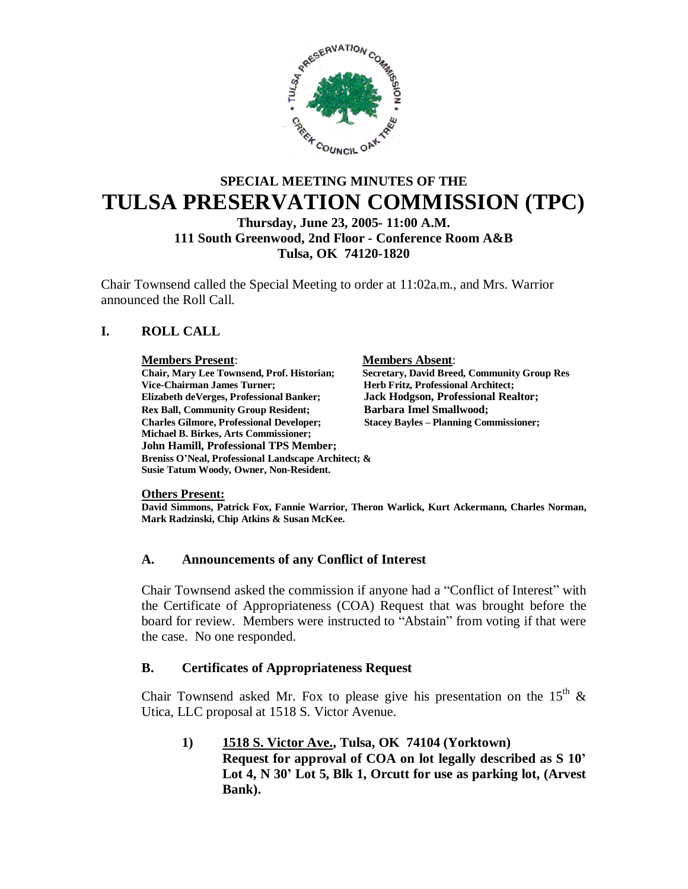

## **SPECIAL MEETING MINUTES OF THE TULSA PRESERVATION COMMISSION (TPC) Thursday, June 23, 2005- 11:00 A.M.**

**111 South Greenwood, 2nd Floor - Conference Room A&B Tulsa, OK 74120-1820**

Chair Townsend called the Special Meeting to order at 11:02a.m., and Mrs. Warrior announced the Roll Call.

## **I. ROLL CALL**

**Members Present**: **Members Absent**: **Vice-Chairman James Turner; Herb Fritz, Professional Architect; Elizabeth deVerges, Professional Banker; Jack Hodgson, Professional Realtor;** Rex Ball, Community Group Resident; **Barbara Imel Smallwood**; **Charles Gilmore, Professional Developer; Stacey Bayles – Planning Commissioner; Michael B. Birkes, Arts Commissioner; John Hamill, Professional TPS Member; Breniss O'Neal, Professional Landscape Architect; & Susie Tatum Woody, Owner, Non-Resident.**

**Secretary, David Breed, Community Group Res** 

**Others Present:**

**David Simmons, Patrick Fox, Fannie Warrior, Theron Warlick, Kurt Ackermann, Charles Norman, Mark Radzinski, Chip Atkins & Susan McKee.**

#### **A. Announcements of any Conflict of Interest**

Chair Townsend asked the commission if anyone had a "Conflict of Interest" with the Certificate of Appropriateness (COA) Request that was brought before the board for review. Members were instructed to "Abstain" from voting if that were the case. No one responded.

#### **B. Certificates of Appropriateness Request**

Chair Townsend asked Mr. Fox to please give his presentation on the  $15<sup>th</sup>$  & Utica, LLC proposal at 1518 S. Victor Avenue.

**1) 1518 S. Victor Ave., Tulsa, OK 74104 (Yorktown) Request for approval of COA on lot legally described as S 10' Lot 4, N 30' Lot 5, Blk 1, Orcutt for use as parking lot, (Arvest Bank).**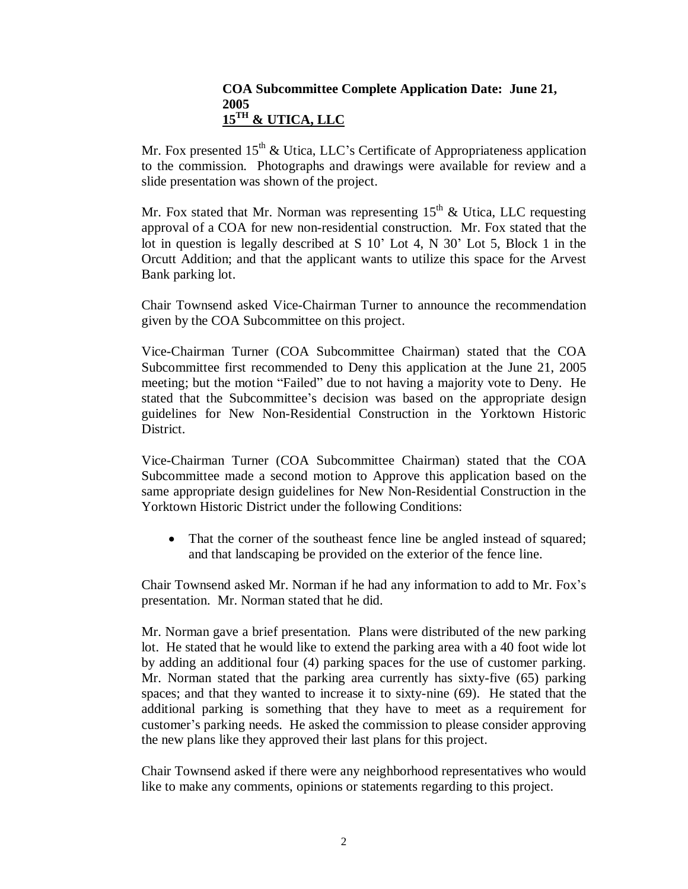### **COA Subcommittee Complete Application Date: June 21, 2005 15TH & UTICA, LLC**

Mr. Fox presented  $15<sup>th</sup>$  & Utica, LLC's Certificate of Appropriateness application to the commission. Photographs and drawings were available for review and a slide presentation was shown of the project.

Mr. Fox stated that Mr. Norman was representing  $15<sup>th</sup>$  & Utica, LLC requesting approval of a COA for new non-residential construction. Mr. Fox stated that the lot in question is legally described at S 10' Lot 4, N 30' Lot 5, Block 1 in the Orcutt Addition; and that the applicant wants to utilize this space for the Arvest Bank parking lot.

Chair Townsend asked Vice-Chairman Turner to announce the recommendation given by the COA Subcommittee on this project.

Vice-Chairman Turner (COA Subcommittee Chairman) stated that the COA Subcommittee first recommended to Deny this application at the June 21, 2005 meeting; but the motion "Failed" due to not having a majority vote to Deny. He stated that the Subcommittee's decision was based on the appropriate design guidelines for New Non-Residential Construction in the Yorktown Historic District.

Vice-Chairman Turner (COA Subcommittee Chairman) stated that the COA Subcommittee made a second motion to Approve this application based on the same appropriate design guidelines for New Non-Residential Construction in the Yorktown Historic District under the following Conditions:

• That the corner of the southeast fence line be angled instead of squared; and that landscaping be provided on the exterior of the fence line.

Chair Townsend asked Mr. Norman if he had any information to add to Mr. Fox's presentation. Mr. Norman stated that he did.

Mr. Norman gave a brief presentation. Plans were distributed of the new parking lot. He stated that he would like to extend the parking area with a 40 foot wide lot by adding an additional four (4) parking spaces for the use of customer parking. Mr. Norman stated that the parking area currently has sixty-five (65) parking spaces; and that they wanted to increase it to sixty-nine (69). He stated that the additional parking is something that they have to meet as a requirement for customer's parking needs. He asked the commission to please consider approving the new plans like they approved their last plans for this project.

Chair Townsend asked if there were any neighborhood representatives who would like to make any comments, opinions or statements regarding to this project.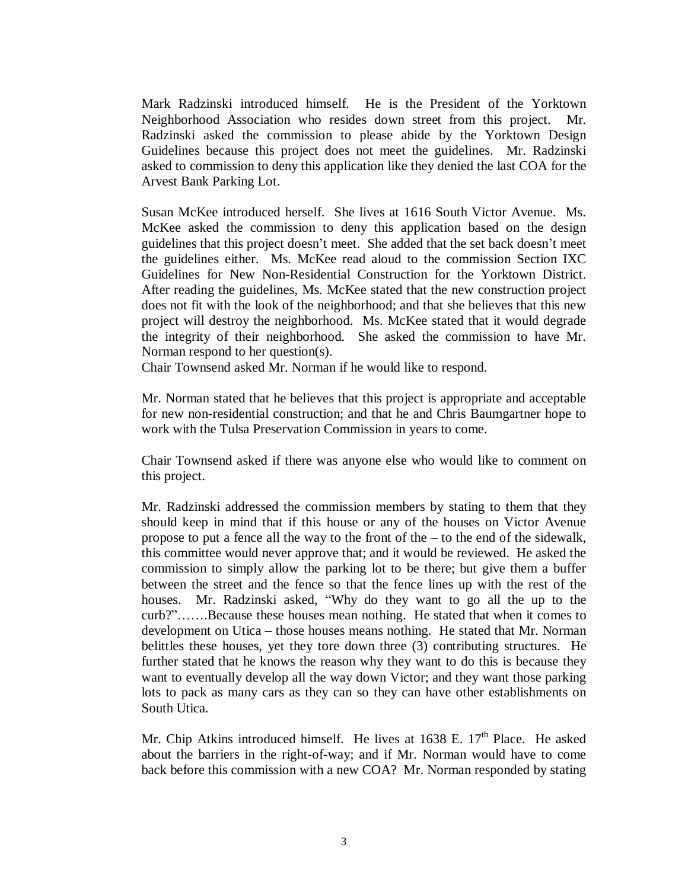Mark Radzinski introduced himself. He is the President of the Yorktown Neighborhood Association who resides down street from this project. Mr. Radzinski asked the commission to please abide by the Yorktown Design Guidelines because this project does not meet the guidelines. Mr. Radzinski asked to commission to deny this application like they denied the last COA for the Arvest Bank Parking Lot.

Susan McKee introduced herself. She lives at 1616 South Victor Avenue. Ms. McKee asked the commission to deny this application based on the design guidelines that this project doesn't meet. She added that the set back doesn't meet the guidelines either. Ms. McKee read aloud to the commission Section IXC Guidelines for New Non-Residential Construction for the Yorktown District. After reading the guidelines, Ms. McKee stated that the new construction project does not fit with the look of the neighborhood; and that she believes that this new project will destroy the neighborhood. Ms. McKee stated that it would degrade the integrity of their neighborhood. She asked the commission to have Mr. Norman respond to her question(s).

Chair Townsend asked Mr. Norman if he would like to respond.

Mr. Norman stated that he believes that this project is appropriate and acceptable for new non-residential construction; and that he and Chris Baumgartner hope to work with the Tulsa Preservation Commission in years to come.

Chair Townsend asked if there was anyone else who would like to comment on this project.

Mr. Radzinski addressed the commission members by stating to them that they should keep in mind that if this house or any of the houses on Victor Avenue propose to put a fence all the way to the front of the –to the end of the sidewalk, this committee would never approve that; and it would be reviewed. He asked the commission to simply allow the parking lot to be there; but give them a buffer between the street and the fence so that the fence lines up with the rest of the houses. Mr. Radzinski asked, "Why do they want to go all the up to the curb?"…….Because these houses mean nothing. He stated that when it comes to development on Utica – those houses means nothing. He stated that Mr. Norman belittles these houses, yet they tore down three (3) contributing structures. He further stated that he knows the reason why they want to do this is because they want to eventually develop all the way down Victor; and they want those parking lots to pack as many cars as they can so they can have other establishments on South Utica.

Mr. Chip Atkins introduced himself. He lives at  $1638$  E.  $17<sup>th</sup>$  Place. He asked about the barriers in the right-of-way; and if Mr. Norman would have to come back before this commission with a new COA? Mr. Norman responded by stating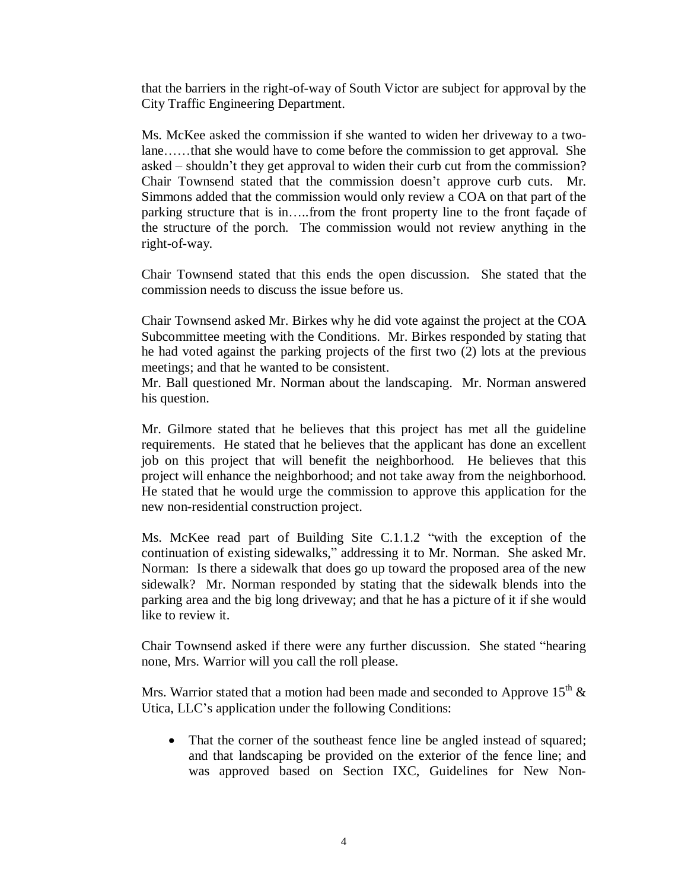that the barriers in the right-of-way of South Victor are subject for approval by the City Traffic Engineering Department.

Ms. McKee asked the commission if she wanted to widen her driveway to a twolane……that she would have to come before the commission to get approval. She asked – shouldn't they get approval to widen their curb cut from the commission? Chair Townsend stated that the commission doesn't approve curb cuts. Mr. Simmons added that the commission would only review a COA on that part of the parking structure that is in…..from the front property line to the front façade of the structure of the porch. The commission would not review anything in the right-of-way.

Chair Townsend stated that this ends the open discussion. She stated that the commission needs to discuss the issue before us.

Chair Townsend asked Mr. Birkes why he did vote against the project at the COA Subcommittee meeting with the Conditions. Mr. Birkes responded by stating that he had voted against the parking projects of the first two (2) lots at the previous meetings; and that he wanted to be consistent.

Mr. Ball questioned Mr. Norman about the landscaping. Mr. Norman answered his question.

Mr. Gilmore stated that he believes that this project has met all the guideline requirements. He stated that he believes that the applicant has done an excellent job on this project that will benefit the neighborhood. He believes that this project will enhance the neighborhood; and not take away from the neighborhood. He stated that he would urge the commission to approve this application for the new non-residential construction project.

Ms. McKee read part of Building Site C.1.1.2 "with the exception of the continuation of existing sidewalks," addressing it to Mr. Norman. She asked Mr. Norman: Is there a sidewalk that does go up toward the proposed area of the new sidewalk? Mr. Norman responded by stating that the sidewalk blends into the parking area and the big long driveway; and that he has a picture of it if she would like to review it.

Chair Townsend asked if there were any further discussion. She stated "hearing none, Mrs. Warrior will you call the roll please.

Mrs. Warrior stated that a motion had been made and seconded to Approve 15<sup>th</sup>  $\&$ Utica, LLC's application under the following Conditions:

• That the corner of the southeast fence line be angled instead of squared; and that landscaping be provided on the exterior of the fence line; and was approved based on Section IXC, Guidelines for New Non